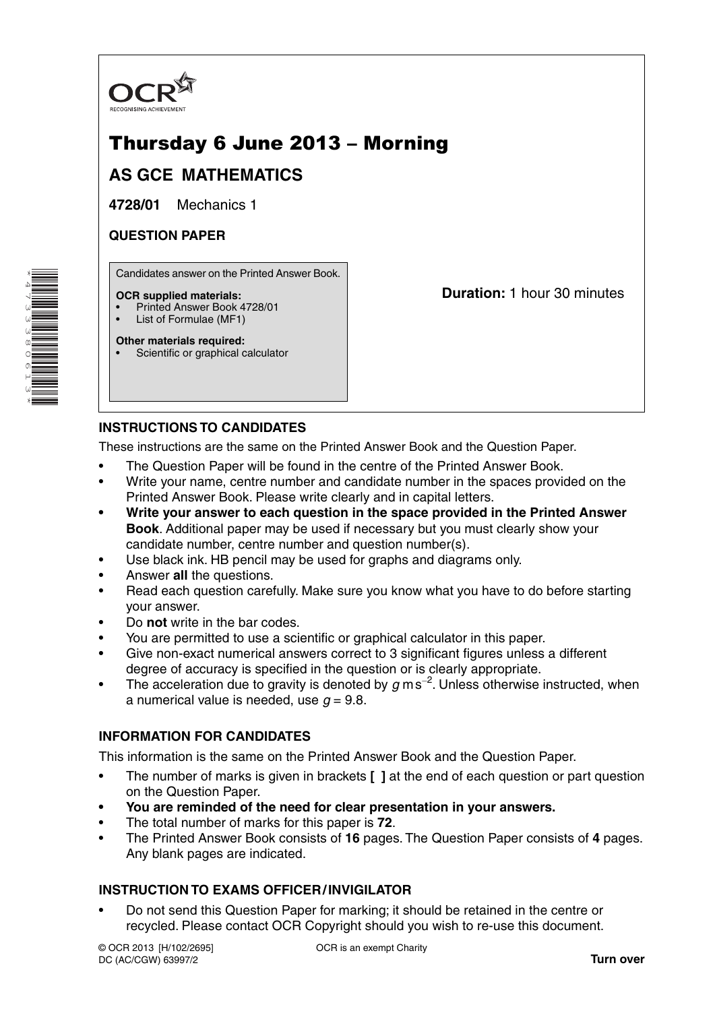

# Thursday 6 June 2013 – Morning

## **AS GCE MATHEMATICS**

**4728/01** Mechanics 1

#### **QUESTION PAPER**

Candidates answer on the Printed Answer Book.

#### **OCR supplied materials:**

- Printed Answer Book 4728/01
- List of Formulae (MF1)

**Other materials required:**

Scientific or graphical calculator

**Duration:** 1 hour 30 minutes

### **INSTRUCTIONS TO CANDIDATES**

These instructions are the same on the Printed Answer Book and the Question Paper.

- The Question Paper will be found in the centre of the Printed Answer Book.
- Write your name, centre number and candidate number in the spaces provided on the Printed Answer Book. Please write clearly and in capital letters.
- **Write your answer to each question in the space provided in the Printed Answer Book**. Additional paper may be used if necessary but you must clearly show your candidate number, centre number and question number(s).
- Use black ink. HB pencil may be used for graphs and diagrams only.
- Answer **all** the questions.
- Read each question carefully. Make sure you know what you have to do before starting your answer.
- Do **not** write in the bar codes.
- You are permitted to use a scientific or graphical calculator in this paper.
- Give non-exact numerical answers correct to 3 significant figures unless a different degree of accuracy is specified in the question or is clearly appropriate.
- The acceleration due to gravity is denoted by *g* m s−<sup>2</sup> . Unless otherwise instructed, when a numerical value is needed, use  $q = 9.8$ .

#### **INFORMATION FOR CANDIDATES**

This information is the same on the Printed Answer Book and the Question Paper.

- The number of marks is given in brackets **[ ]** at the end of each question or part question on the Question Paper.
- **You are reminded of the need for clear presentation in your answers.**
- The total number of marks for this paper is **72**.
- The Printed Answer Book consists of **16** pages. The Question Paper consists of **4** pages. Any blank pages are indicated.

#### **INSTRUCTION TO EXAMS OFFICER / INVIGILATOR**

• Do not send this Question Paper for marking; it should be retained in the centre or recycled. Please contact OCR Copyright should you wish to re-use this document.

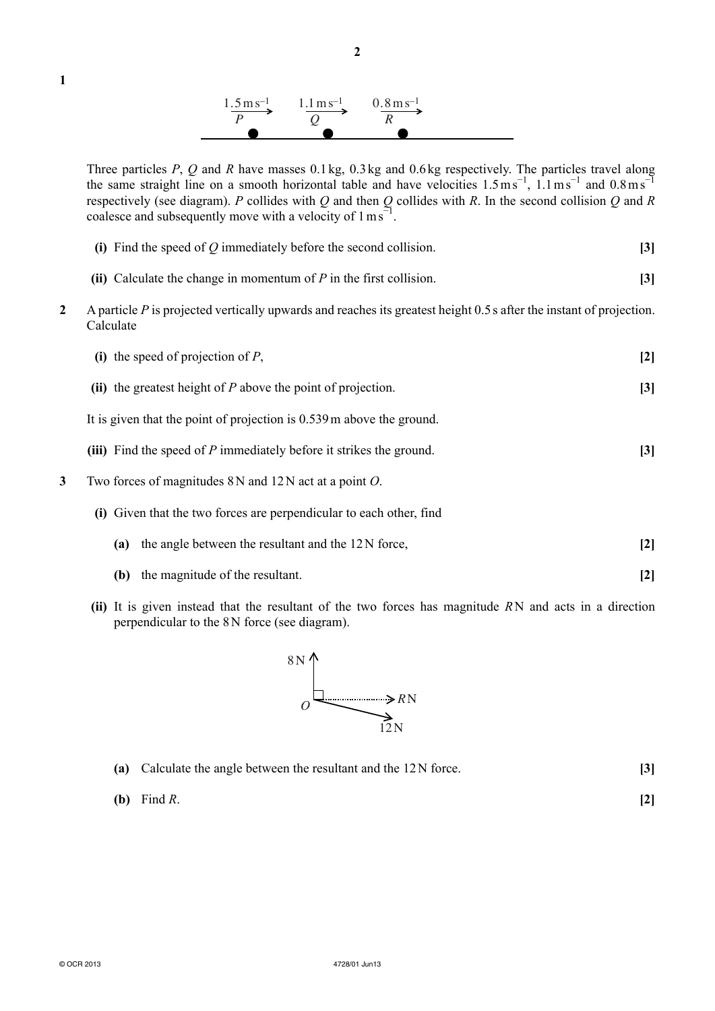

**2**

Three particles *P*, *Q* and *R* have masses 0.1 kg, 0.3 kg and 0.6 kg respectively. The particles travel along the same straight line on a smooth horizontal table and have velocities  $1.5 \text{ ms}^{-1}$ ,  $1.1 \text{ ms}^{-1}$  and  $0.8 \text{ ms}^{-1}$ respectively (see diagram). *P* collides with *Q* and then *Q* collides with *R*. In the second collision *Q* and *R* coalesce and subsequently move with a velocity of  $1 \text{ ms}^{-1}$ .

|  |  | (i) Find the speed of $Q$ immediately before the second collision. |  |
|--|--|--------------------------------------------------------------------|--|
|--|--|--------------------------------------------------------------------|--|

- **(ii)** Calculate the change in momentum of *P* in the first collision. **[3]**
- **2** A particle *P* is projected vertically upwards and reaches its greatest height 0.5 s after the instant of projection. Calculate

|                                                                     | (i) the speed of projection of $P$ ,                                    | $[2]$             |  |  |  |
|---------------------------------------------------------------------|-------------------------------------------------------------------------|-------------------|--|--|--|
|                                                                     | (ii) the greatest height of $P$ above the point of projection.          | [3]               |  |  |  |
|                                                                     | It is given that the point of projection is $0.539$ m above the ground. |                   |  |  |  |
|                                                                     | (iii) Find the speed of $P$ immediately before it strikes the ground.   | $\left[3\right]$  |  |  |  |
| 3                                                                   | Two forces of magnitudes $8N$ and $12N$ act at a point O.               |                   |  |  |  |
| (i) Given that the two forces are perpendicular to each other, find |                                                                         |                   |  |  |  |
|                                                                     | the angle between the resultant and the 12N force,<br>(a)               | $\lceil 2 \rceil$ |  |  |  |
|                                                                     | the magnitude of the resultant.<br>(b)                                  | [2]               |  |  |  |
|                                                                     |                                                                         |                   |  |  |  |

 **(ii)** It is given instead that the resultant of the two forces has magnitude *R* N and acts in a direction perpendicular to the 8 N force (see diagram).



|     | (a) Calculate the angle between the resultant and the $12N$ force. |  |
|-----|--------------------------------------------------------------------|--|
| (b) | Find $R$ .                                                         |  |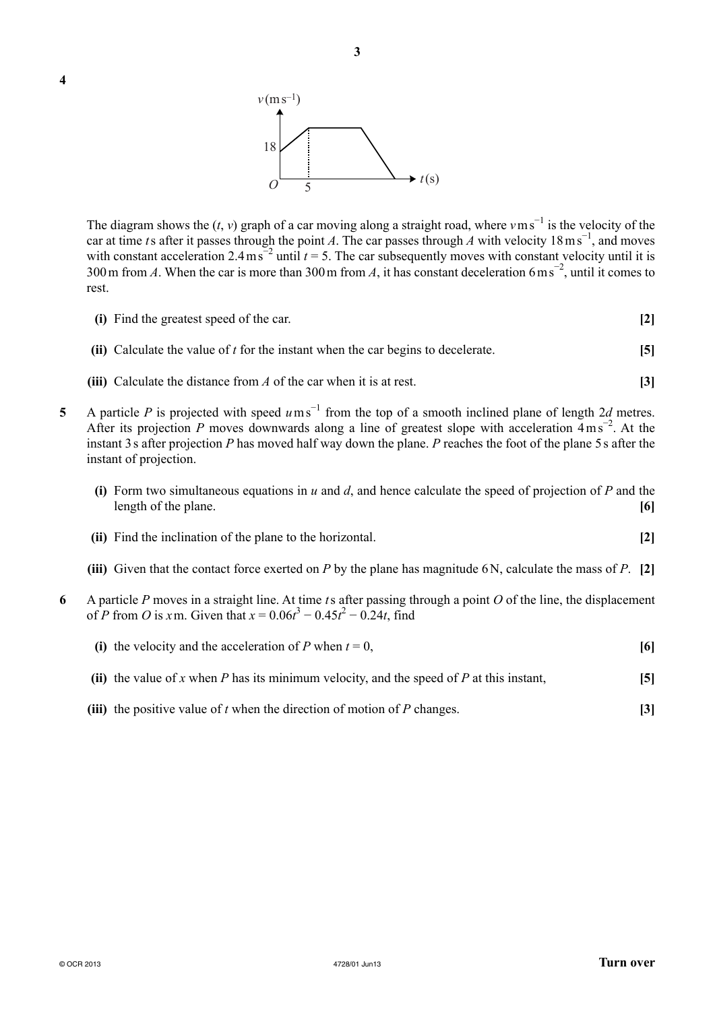

The diagram shows the  $(t, v)$  graph of a car moving along a straight road, where  $v \text{ m s}^{-1}$  is the velocity of the car at time *t* s after it passes through the point *A*. The car passes through *A* with velocity  $18 \text{ ms}^{-1}$ , and moves with constant acceleration 2.4 ms<sup> $=$ 2</sup> until  $t = 5$ . The car subsequently moves with constant velocity until it is 300 m from *A*. When the car is more than 300 m from *A*, it has constant deceleration 6 m s<sup>-2</sup>, until it comes to rest.

- **(i)** Find the greatest speed of the car. **[2]**
- **(ii)** Calculate the value of *t* for the instant when the car begins to decelerate. **[5]**
- **(iii)** Calculate the distance from *A* of the car when it is at rest. **[3]**
- **5** A particle *P* is projected with speed  $u$  m s<sup>−1</sup> from the top of a smooth inclined plane of length 2*d* metres. After its projection *P* moves downwards along a line of greatest slope with acceleration 4 m s<sup>−2</sup>. At the instant 3 s after projection *P* has moved half way down the plane. *P* reaches the foot of the plane 5 s after the instant of projection.
	- **(i)** Form two simultaneous equations in *u* and *d*, and hence calculate the speed of projection of *P* and the length of the plane. **[6]**
	- **(ii)** Find the inclination of the plane to the horizontal. **[2]**
	- **(iii)** Given that the contact force exerted on *P* by the plane has magnitude 6 N, calculate the mass of *P*. **[2]**
- **6** A particle *P* moves in a straight line. At time *t* s after passing through a point *O* of the line, the displacement of *P* from *O* is *x* m. Given that  $x = 0.06t^3 - 0.45t^2 - 0.24t$ , find
	- **(i)** the velocity and the acceleration of *P* when  $t = 0$ ,  $\boxed{6}$  **(ii)** the value of *x* when *P* has its minimum velocity, and the speed of *P* at this instant, **[5]**
	- **(iii)** the positive value of *t* when the direction of motion of *P* changes. **[3]**